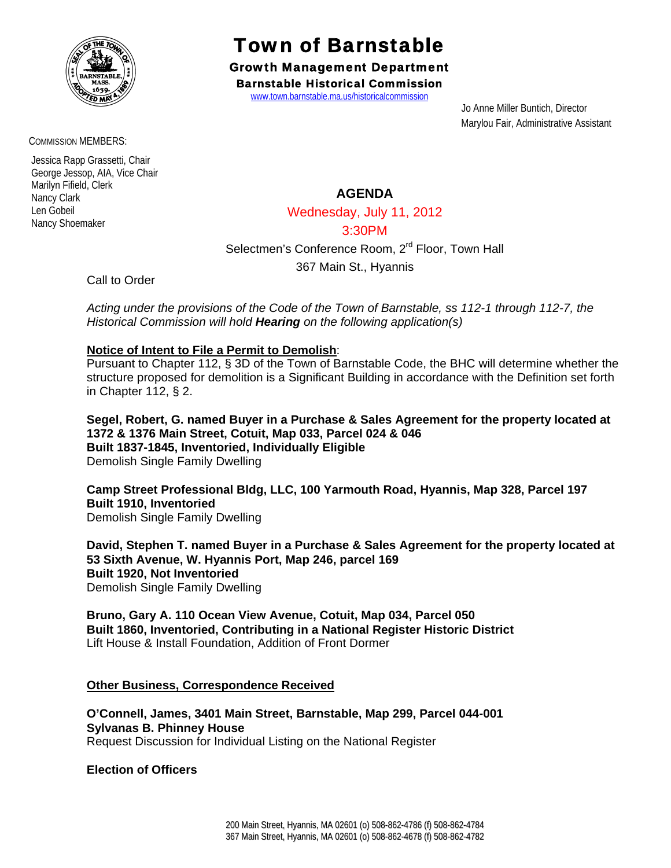

Town of Barnstable

Growth Management Department Barnstable Historical Commission

www.town.barnstable.ma.us/historicalcommission

 Jo Anne Miller Buntich, Director Marylou Fair, Administrative Assistant

COMMISSION MEMBERS:

 Jessica Rapp Grassetti, Chair George Jessop, AIA, Vice Chair Marilyn Fifield, Clerk Nancy Clark Len Gobeil Nancy Shoemaker

# **AGENDA**

Wednesday, July 11, 2012

### 3:30PM

Selectmen's Conference Room, 2<sup>rd</sup> Floor, Town Hall

367 Main St., Hyannis

Call to Order

*Acting under the provisions of the Code of the Town of Barnstable, ss 112-1 through 112-7, the Historical Commission will hold Hearing on the following application(s)* 

## **Notice of Intent to File a Permit to Demolish**:

Pursuant to Chapter 112, § 3D of the Town of Barnstable Code, the BHC will determine whether the structure proposed for demolition is a Significant Building in accordance with the Definition set forth in Chapter 112, § 2.

**Segel, Robert, G. named Buyer in a Purchase & Sales Agreement for the property located at 1372 & 1376 Main Street, Cotuit, Map 033, Parcel 024 & 046 Built 1837-1845, Inventoried, Individually Eligible**  Demolish Single Family Dwelling

**Camp Street Professional Bldg, LLC, 100 Yarmouth Road, Hyannis, Map 328, Parcel 197 Built 1910, Inventoried**  Demolish Single Family Dwelling

**David, Stephen T. named Buyer in a Purchase & Sales Agreement for the property located at 53 Sixth Avenue, W. Hyannis Port, Map 246, parcel 169 Built 1920, Not Inventoried**  Demolish Single Family Dwelling

**Bruno, Gary A. 110 Ocean View Avenue, Cotuit, Map 034, Parcel 050 Built 1860, Inventoried, Contributing in a National Register Historic District**  Lift House & Install Foundation, Addition of Front Dormer

### **Other Business, Correspondence Received**

**O'Connell, James, 3401 Main Street, Barnstable, Map 299, Parcel 044-001 Sylvanas B. Phinney House**  Request Discussion for Individual Listing on the National Register

**Election of Officers**